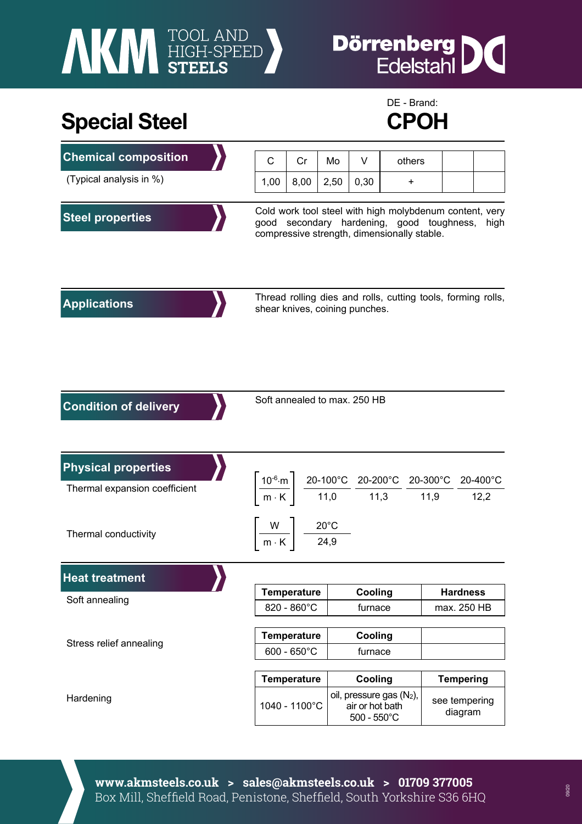# **AKI HIGH-SPEED**

## **Dörrenberg** IC

## Special Steel **CPOH**



| <b>Chemical composition</b>   | С                                                                                                                                                           | Cr                                                                                                                                                                                                                                          | Mo   | V                                                                   | others |                          |  |
|-------------------------------|-------------------------------------------------------------------------------------------------------------------------------------------------------------|---------------------------------------------------------------------------------------------------------------------------------------------------------------------------------------------------------------------------------------------|------|---------------------------------------------------------------------|--------|--------------------------|--|
| (Typical analysis in %)       | 1,00                                                                                                                                                        | 8,00                                                                                                                                                                                                                                        | 2,50 | 0,30                                                                | +      |                          |  |
| <b>Steel properties</b>       | Cold work tool steel with high molybdenum content, very<br>good secondary hardening, good toughness,<br>high<br>compressive strength, dimensionally stable. |                                                                                                                                                                                                                                             |      |                                                                     |        |                          |  |
| <b>Applications</b>           | Thread rolling dies and rolls, cutting tools, forming rolls,<br>shear knives, coining punches.                                                              |                                                                                                                                                                                                                                             |      |                                                                     |        |                          |  |
| <b>Condition of delivery</b>  | Soft annealed to max. 250 HB                                                                                                                                |                                                                                                                                                                                                                                             |      |                                                                     |        |                          |  |
| <b>Physical properties</b>    |                                                                                                                                                             |                                                                                                                                                                                                                                             |      |                                                                     |        |                          |  |
| Thermal expansion coefficient |                                                                                                                                                             | $\left[\frac{10^{-6}\text{ m}}{\text{m} \cdot \text{K}}\right] \frac{\text{20-100}^{\circ}\text{C}}{11,0} \frac{\text{20-200}^{\circ}\text{C}}{11,3} \frac{\text{20-300}^{\circ}\text{C}}{11,9} \frac{\text{20-400}^{\circ}\text{C}}{12,2}$ |      |                                                                     |        |                          |  |
| Thermal conductivity          | $\left \frac{W}{m\cdot K}\right  \frac{20^{\circ}C}{24.9}$                                                                                                  |                                                                                                                                                                                                                                             |      |                                                                     |        |                          |  |
| <b>Heat treatment</b>         |                                                                                                                                                             |                                                                                                                                                                                                                                             |      |                                                                     |        |                          |  |
| Soft annealing                |                                                                                                                                                             | <b>Temperature</b>                                                                                                                                                                                                                          |      | Cooling                                                             |        | <b>Hardness</b>          |  |
|                               |                                                                                                                                                             | 820 - 860°C                                                                                                                                                                                                                                 |      | furnace                                                             |        | max. 250 HB              |  |
|                               |                                                                                                                                                             | <b>Temperature</b>                                                                                                                                                                                                                          |      | Cooling                                                             |        |                          |  |
| Stress relief annealing       |                                                                                                                                                             | $600 - 650^{\circ}$ C                                                                                                                                                                                                                       |      | furnace                                                             |        |                          |  |
|                               |                                                                                                                                                             | <b>Temperature</b>                                                                                                                                                                                                                          |      | Cooling                                                             |        | <b>Tempering</b>         |  |
| Hardening                     |                                                                                                                                                             | 1040 - 1100°C                                                                                                                                                                                                                               |      | oil, pressure gas (N2),<br>air or hot bath<br>$500 - 550^{\circ}$ C |        | see tempering<br>diagram |  |

**www.akmsteels.co.uk > sales@akmsteels.co.uk > 01709 377005**  Box Mill, Sheffield Road, Penistone, Sheffield, South Yorkshire S36 6HQ